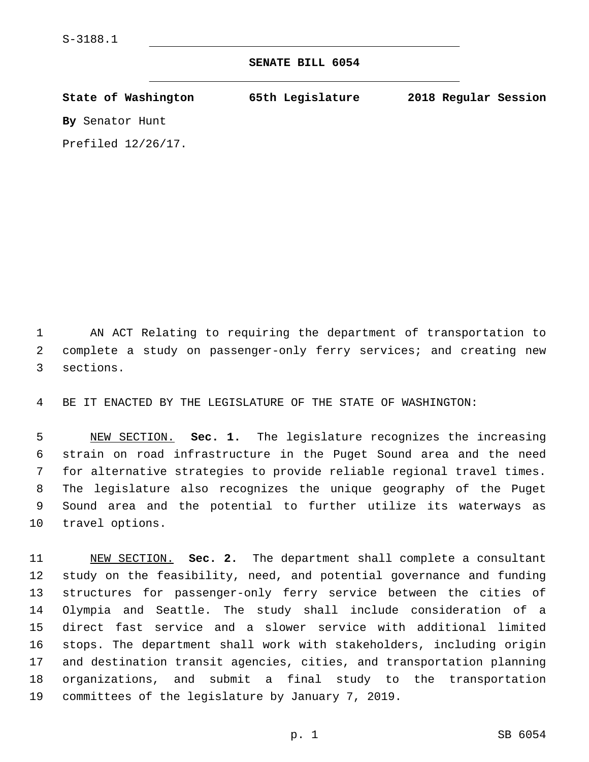## **SENATE BILL 6054**

| State of Washington   | 65th Legislature | 2018 Regular Session |
|-----------------------|------------------|----------------------|
| By Senator Hunt       |                  |                      |
| Prefiled $12/26/17$ . |                  |                      |

 AN ACT Relating to requiring the department of transportation to complete a study on passenger-only ferry services; and creating new 3 sections.

BE IT ENACTED BY THE LEGISLATURE OF THE STATE OF WASHINGTON:

 NEW SECTION. **Sec. 1.** The legislature recognizes the increasing strain on road infrastructure in the Puget Sound area and the need for alternative strategies to provide reliable regional travel times. The legislature also recognizes the unique geography of the Puget Sound area and the potential to further utilize its waterways as travel options.

 NEW SECTION. **Sec. 2.** The department shall complete a consultant study on the feasibility, need, and potential governance and funding structures for passenger-only ferry service between the cities of Olympia and Seattle. The study shall include consideration of a direct fast service and a slower service with additional limited stops. The department shall work with stakeholders, including origin and destination transit agencies, cities, and transportation planning organizations, and submit a final study to the transportation committees of the legislature by January 7, 2019.